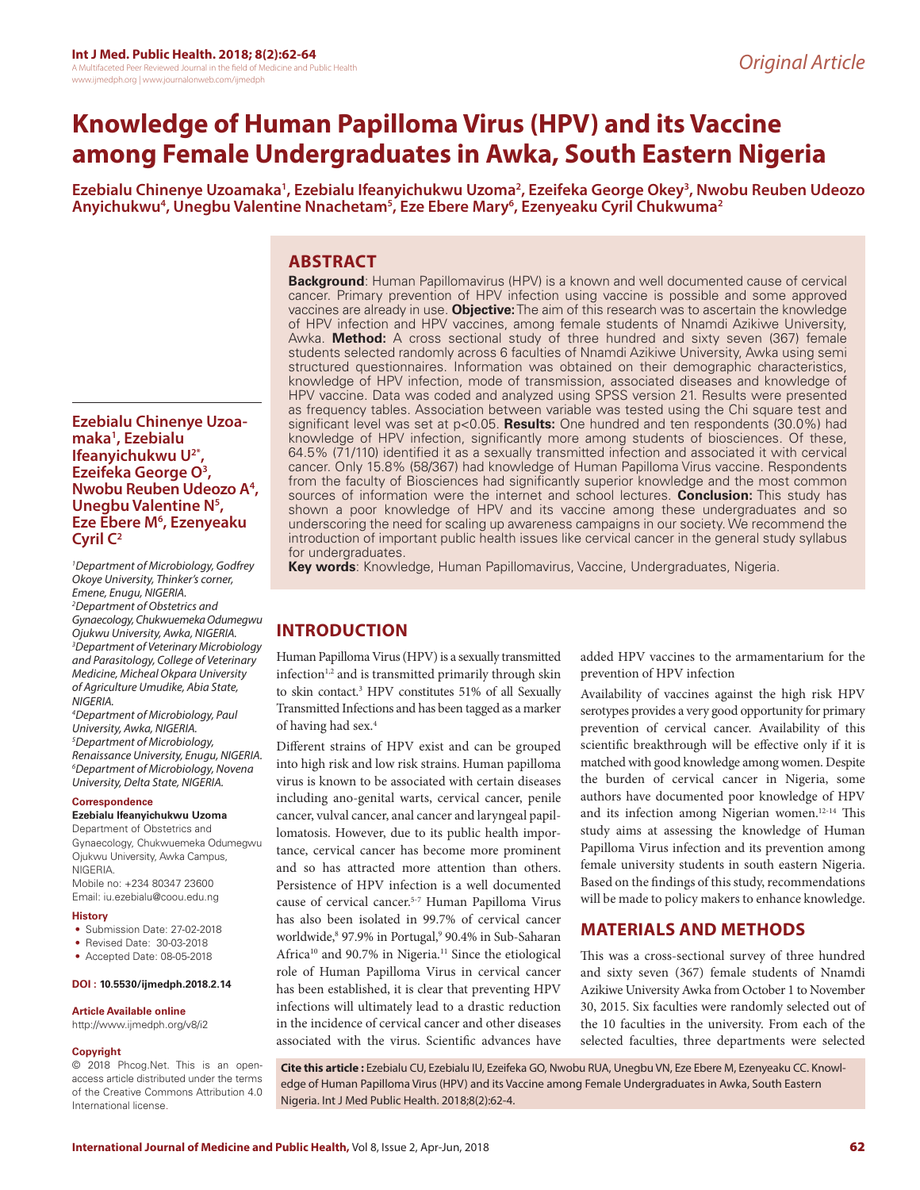# **Knowledge of Human Papilloma Virus (HPV) and its Vaccine among Female Undergraduates in Awka, South Eastern Nigeria**

Ezebialu Chinenye Uzoamaka<sup>1</sup>, Ezebialu Ifeanyichukwu Uzoma<sup>2</sup>, Ezeifeka George Okey<sup>3</sup>, Nwobu Reuben Udeozo Anyichukwu<sup>4</sup>, Unegbu Valentine Nnachetam<sup>s</sup>, Eze Ebere Mary<sup>6</sup>, Ezenyeaku Cyril Chukwuma<sup>2</sup>

# **ABSTRACT**

**Background**: Human Papillomavirus (HPV) is a known and well documented cause of cervical cancer. Primary prevention of HPV infection using vaccine is possible and some approved vaccines are already in use. **Objective:** The aim of this research was to ascertain the knowledge of HPV infection and HPV vaccines, among female students of Nnamdi Azikiwe University, Awka. **Method:** A cross sectional study of three hundred and sixty seven (367) female students selected randomly across 6 faculties of Nnamdi Azikiwe University, Awka using semi structured questionnaires. Information was obtained on their demographic characteristics, knowledge of HPV infection, mode of transmission, associated diseases and knowledge of HPV vaccine. Data was coded and analyzed using SPSS version 21. Results were presented as frequency tables. Association between variable was tested using the Chi square test and significant level was set at p<0.05. **Results:** One hundred and ten respondents (30.0%) had knowledge of HPV infection, significantly more among students of biosciences. Of these, 64.5% (71/110) identified it as a sexually transmitted infection and associated it with cervical cancer. Only 15.8% (58/367) had knowledge of Human Papilloma Virus vaccine. Respondents from the faculty of Biosciences had significantly superior knowledge and the most common sources of information were the internet and school lectures. **Conclusion:** This study has shown a poor knowledge of HPV and its vaccine among these undergraduates and so underscoring the need for scaling up awareness campaigns in our society. We recommend the introduction of important public health issues like cervical cancer in the general study syllabus for undergraduates.

**Key words**: Knowledge, Human Papillomavirus, Vaccine, Undergraduates, Nigeria.

# **INTRODUCTION**

Human Papilloma Virus (HPV) is a sexually transmitted infection $1,2$  and is transmitted primarily through skin to skin contact.3 HPV constitutes 51% of all Sexually Transmitted Infections and has been tagged as a marker of having had sex.4

Different strains of HPV exist and can be grouped into high risk and low risk strains. Human papilloma virus is known to be associated with certain diseases including ano-genital warts, cervical cancer, penile cancer, vulval cancer, anal cancer and laryngeal papillomatosis. However, due to its public health importance, cervical cancer has become more prominent and so has attracted more attention than others. Persistence of HPV infection is a well documented cause of cervical cancer.5-7 Human Papilloma Virus has also been isolated in 99.7% of cervical cancer worldwide,<sup>8</sup> 97.9% in Portugal,<sup>9</sup> 90.4% in Sub-Saharan Africa<sup>10</sup> and 90.7% in Nigeria.<sup>11</sup> Since the etiological role of Human Papilloma Virus in cervical cancer has been established, it is clear that preventing HPV infections will ultimately lead to a drastic reduction in the incidence of cervical cancer and other diseases associated with the virus. Scientific advances have

added HPV vaccines to the armamentarium for the prevention of HPV infection

Availability of vaccines against the high risk HPV serotypes provides a very good opportunity for primary prevention of cervical cancer. Availability of this scientific breakthrough will be effective only if it is matched with good knowledge among women. Despite the burden of cervical cancer in Nigeria, some authors have documented poor knowledge of HPV and its infection among Nigerian women.12-14 This study aims at assessing the knowledge of Human Papilloma Virus infection and its prevention among female university students in south eastern Nigeria. Based on the findings of this study, recommendations will be made to policy makers to enhance knowledge.

# **MATERIALS AND METHODS**

This was a cross-sectional survey of three hundred and sixty seven (367) female students of Nnamdi Azikiwe University Awka from October 1 to November 30, 2015. Six faculties were randomly selected out of the 10 faculties in the university. From each of the selected faculties, three departments were selected

**Cite this article :** Ezebialu CU, Ezebialu IU, Ezeifeka GO, Nwobu RUA, Unegbu VN, Eze Ebere M, Ezenyeaku CC. Knowledge of Human Papilloma Virus (HPV) and its Vaccine among Female Undergraduates in Awka, South Eastern Nigeria. Int J Med Public Health. 2018;8(2):62-4.

# **Ezebialu Chinenye Uzoamaka1 , Ezebialu Ifeanyichukwu U2\*, Ezeifeka George O3 , Nwobu Reuben Udeozo A4 , Unegbu Valentine N5 , Eze Ebere M6 , Ezenyeaku Cyril C2**

*1 Department of Microbiology, Godfrey Okoye University, Thinker's corner, Emene, Enugu, NIGERIA. 2 Department of Obstetrics and Gynaecology, Chukwuemeka Odumegwu Ojukwu University, Awka, NIGERIA. 3 Department of Veterinary Microbiology and Parasitology, College of Veterinary Medicine, Micheal Okpara University of Agriculture Umudike, Abia State, NIGERIA.* 

*4 Department of Microbiology, Paul University, Awka, NIGERIA. 5 Department of Microbiology, Renaissance University, Enugu, NIGERIA. 6 Department of Microbiology, Novena University, Delta State, NIGERIA.*

### **Correspondence**

**Ezebialu Ifeanyichukwu Uzoma** Department of Obstetrics and

Gynaecology, Chukwuemeka Odumegwu Ojukwu University, Awka Campus, NIGERIA. Mobile no: +234 80347 23600 Email: iu.ezebialu@coou.edu.ng

#### **History**

- Submission Date: 27-02-2018
- Revised Date: 30-03-2018
- Accepted Date: 08-05-2018

#### **DOI : 10.5530/ijmedph.2018.2.14**

#### **Article Available online**

http://www.ijmedph.org/v8/i2

#### **Copyright**

© 2018 Phcog.Net. This is an openaccess article distributed under the terms of the Creative Commons Attribution 4.0 International license.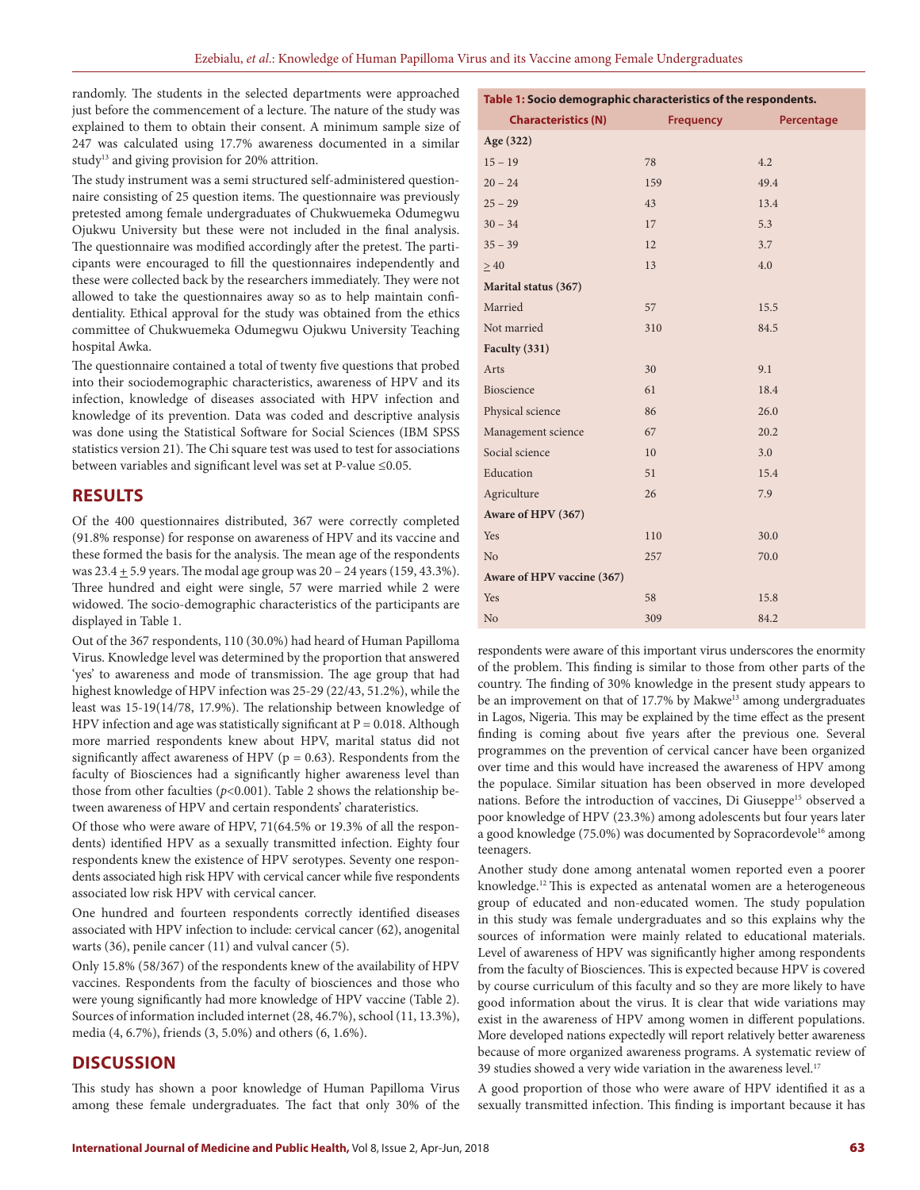randomly. The students in the selected departments were approached just before the commencement of a lecture. The nature of the study was explained to them to obtain their consent. A minimum sample size of 247 was calculated using 17.7% awareness documented in a similar study<sup>13</sup> and giving provision for 20% attrition.

The study instrument was a semi structured self-administered questionnaire consisting of 25 question items. The questionnaire was previously pretested among female undergraduates of Chukwuemeka Odumegwu Ojukwu University but these were not included in the final analysis. The questionnaire was modified accordingly after the pretest. The participants were encouraged to fill the questionnaires independently and these were collected back by the researchers immediately. They were not allowed to take the questionnaires away so as to help maintain confidentiality. Ethical approval for the study was obtained from the ethics committee of Chukwuemeka Odumegwu Ojukwu University Teaching hospital Awka.

The questionnaire contained a total of twenty five questions that probed into their sociodemographic characteristics, awareness of HPV and its infection, knowledge of diseases associated with HPV infection and knowledge of its prevention. Data was coded and descriptive analysis was done using the Statistical Software for Social Sciences (IBM SPSS statistics version 21). The Chi square test was used to test for associations between variables and significant level was set at P-value ≤0.05.

# **RESULTS**

Of the 400 questionnaires distributed, 367 were correctly completed (91.8% response) for response on awareness of HPV and its vaccine and these formed the basis for the analysis. The mean age of the respondents was  $23.4 \pm 5.9$  years. The modal age group was  $20 - 24$  years (159, 43.3%). Three hundred and eight were single, 57 were married while 2 were widowed. The socio-demographic characteristics of the participants are displayed in Table 1.

Out of the 367 respondents, 110 (30.0%) had heard of Human Papilloma Virus. Knowledge level was determined by the proportion that answered 'yes' to awareness and mode of transmission. The age group that had highest knowledge of HPV infection was 25-29 (22/43, 51.2%), while the least was 15-19(14/78, 17.9%). The relationship between knowledge of HPV infection and age was statistically significant at  $P = 0.018$ . Although more married respondents knew about HPV, marital status did not significantly affect awareness of HPV ( $p = 0.63$ ). Respondents from the faculty of Biosciences had a significantly higher awareness level than those from other faculties ( $p$ <0.001). Table 2 shows the relationship between awareness of HPV and certain respondents' charateristics.

Of those who were aware of HPV, 71(64.5% or 19.3% of all the respondents) identified HPV as a sexually transmitted infection. Eighty four respondents knew the existence of HPV serotypes. Seventy one respondents associated high risk HPV with cervical cancer while five respondents associated low risk HPV with cervical cancer.

One hundred and fourteen respondents correctly identified diseases associated with HPV infection to include: cervical cancer (62), anogenital warts (36), penile cancer (11) and vulval cancer (5).

Only 15.8% (58/367) of the respondents knew of the availability of HPV vaccines. Respondents from the faculty of biosciences and those who were young significantly had more knowledge of HPV vaccine (Table 2). Sources of information included internet (28, 46.7%), school (11, 13.3%), media (4, 6.7%), friends (3, 5.0%) and others (6, 1.6%).

# **DISCUSSION**

This study has shown a poor knowledge of Human Papilloma Virus among these female undergraduates. The fact that only 30% of the

| Table 1: Socio demographic characteristics of the respondents. |           |            |  |  |  |  |  |
|----------------------------------------------------------------|-----------|------------|--|--|--|--|--|
| <b>Characteristics (N)</b>                                     | Frequency | Percentage |  |  |  |  |  |
| Age (322)                                                      |           |            |  |  |  |  |  |
| $15 - 19$                                                      | 78        | 4.2        |  |  |  |  |  |
| $20 - 24$                                                      | 159       | 49.4       |  |  |  |  |  |
| $25 - 29$                                                      | 43        | 13.4       |  |  |  |  |  |
| $30 - 34$                                                      | 17        | 5.3        |  |  |  |  |  |
| $35 - 39$                                                      | 12        | 3.7        |  |  |  |  |  |
| $\geq 40$                                                      | 13        | 4.0        |  |  |  |  |  |
| Marital status (367)                                           |           |            |  |  |  |  |  |
| Married                                                        | 57        | 15.5       |  |  |  |  |  |
| Not married                                                    | 310       | 84.5       |  |  |  |  |  |
| Faculty (331)                                                  |           |            |  |  |  |  |  |
| Arts                                                           | 30        | 9.1        |  |  |  |  |  |
| Bioscience                                                     | 61        | 18.4       |  |  |  |  |  |
| Physical science                                               | 86        | 26.0       |  |  |  |  |  |
| Management science                                             | 67        | 20.2       |  |  |  |  |  |
| Social science                                                 | 10        | 3.0        |  |  |  |  |  |
| Education                                                      | 51        | 15.4       |  |  |  |  |  |
| Agriculture                                                    | 26        | 7.9        |  |  |  |  |  |
| Aware of HPV (367)                                             |           |            |  |  |  |  |  |
| Yes                                                            | 110       | 30.0       |  |  |  |  |  |
| No                                                             | 257       | 70.0       |  |  |  |  |  |
| Aware of HPV vaccine (367)                                     |           |            |  |  |  |  |  |
| Yes                                                            | 58        | 15.8       |  |  |  |  |  |
| No                                                             | 309       | 84.2       |  |  |  |  |  |

respondents were aware of this important virus underscores the enormity of the problem. This finding is similar to those from other parts of the country. The finding of 30% knowledge in the present study appears to be an improvement on that of 17.7% by Makwe<sup>13</sup> among undergraduates in Lagos, Nigeria. This may be explained by the time effect as the present finding is coming about five years after the previous one. Several programmes on the prevention of cervical cancer have been organized over time and this would have increased the awareness of HPV among the populace. Similar situation has been observed in more developed nations. Before the introduction of vaccines, Di Giuseppe<sup>15</sup> observed a poor knowledge of HPV (23.3%) among adolescents but four years later a good knowledge (75.0%) was documented by Sopracordevole<sup>16</sup> among teenagers.

Another study done among antenatal women reported even a poorer knowledge.12 This is expected as antenatal women are a heterogeneous group of educated and non-educated women. The study population in this study was female undergraduates and so this explains why the sources of information were mainly related to educational materials. Level of awareness of HPV was significantly higher among respondents from the faculty of Biosciences. This is expected because HPV is covered by course curriculum of this faculty and so they are more likely to have good information about the virus. It is clear that wide variations may exist in the awareness of HPV among women in different populations. More developed nations expectedly will report relatively better awareness because of more organized awareness programs. A systematic review of 39 studies showed a very wide variation in the awareness level.<sup>17</sup>

A good proportion of those who were aware of HPV identified it as a sexually transmitted infection. This finding is important because it has